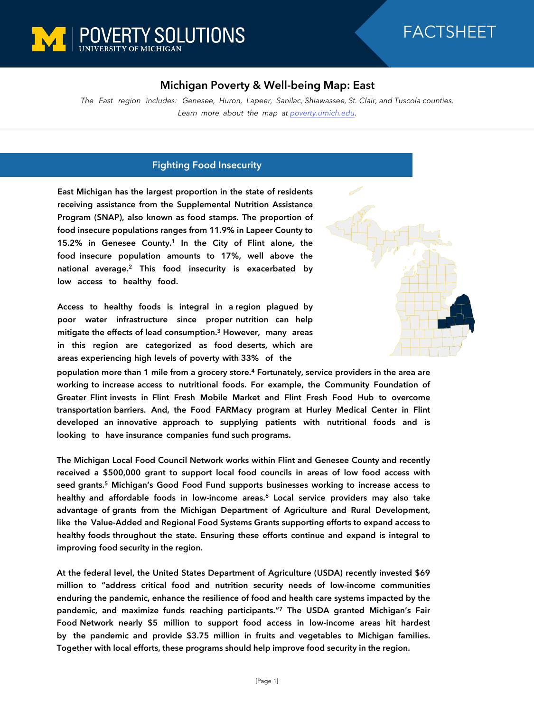

## FACTSHEET

## **Michigan Poverty & Well-being Map: East**

*The East region includes: Genesee, Huron, Lapeer, Sanilac, Shiawassee, St. Clair, and Tuscola counties. Learn more about the map at [poverty.umich.edu](https://poverty.umich.edu/research-funding-opportunities/data-tools/michigan-poverty-well-being-map/).*

## **Fighting Food Insecurity**

**East Michigan has the largest proportion in the state of residents receiving assistance from the Supplemental Nutrition Assistance Program (SNAP), also known as food stamps. The proportion of food insecure populations ranges from 11.9% in Lapeer County to 15.2% in Genesee County.<sup>1</sup> In the City of Flint alone, the food insecure population amounts to 17%, well above the national average.<sup>2</sup> This food insecurity is exacerbated by low access to healthy food.** 

**Access to healthy foods is integral in a region plagued by poor water infrastructure since proper nutrition can help mitigate the effects of lead consumption.<sup>3</sup> However, many areas in this region are categorized as food deserts, which are areas experiencing high levels of poverty with 33% of the**



**population more than 1 mile from a grocery store.<sup>4</sup> Fortunately, service providers in the area are working to increase access to nutritional foods. For example, the Community Foundation of Greater Flint invests in Flint Fresh Mobile Market and Flint Fresh Food Hub to overcome transportation barriers. And, the Food FARMacy program at Hurley Medical Center in Flint developed an innovative approach to supplying patients with nutritional foods and is looking to have insurance companies fund such programs.**

**The Michigan Local Food Council Network works within Flint and Genesee County and recently received a \$500,000 grant to support local food councils in areas of low food access with seed grants.<sup>5</sup> Michigan's Good Food Fund supports businesses working to increase access to healthy and affordable foods in low-income areas.<sup>6</sup> Local service providers may also take advantage of grants from the Michigan Department of Agriculture and Rural Development, like the Value-Added and Regional Food Systems Grants supporting efforts to expand access to healthy foods throughout the state. Ensuring these efforts continue and expand is integral to improving food security in the region.**

**At the federal level, the United States Department of Agriculture (USDA) recently invested \$69 million to "address critical food and nutrition security needs of low-income communities enduring the pandemic, enhance the resilience of food and health care systems impacted by the pandemic, and maximize funds reaching participants."<sup>7</sup> The USDA granted Michigan's Fair Food Network nearly \$5 million to support food access in low-income areas hit hardest by the pandemic and provide \$3.75 million in fruits and vegetables to Michigan families. Together with local efforts, these programs should help improve food security in the region.**